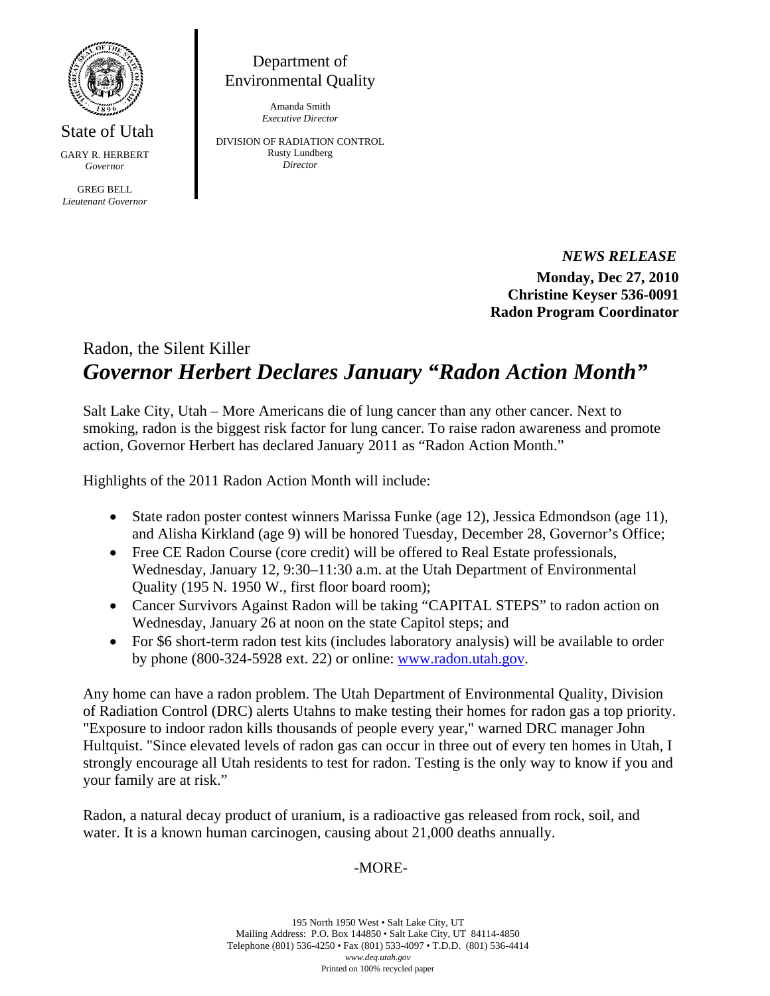

State of Utah GARY R. HERBERT *Governor* 

GREG BELL *Lieutenant Governor* 

Department of Environmental Quality

> Amanda Smith *Executive Director*

DIVISION OF RADIATION CONTROL Rusty Lundberg *Director* 

> *NEWS RELEASE*  **Monday, Dec 27, 2010 Christine Keyser 536-0091 Radon Program Coordinator**

## Radon, the Silent Killer *Governor Herbert Declares January "Radon Action Month"*

Salt Lake City, Utah – More Americans die of lung cancer than any other cancer. Next to smoking, radon is the biggest risk factor for lung cancer. To raise radon awareness and promote action, Governor Herbert has declared January 2011 as "Radon Action Month."

Highlights of the 2011 Radon Action Month will include:

- State radon poster contest winners Marissa Funke (age 12), Jessica Edmondson (age 11), and Alisha Kirkland (age 9) will be honored Tuesday, December 28, Governor's Office;
- Free CE Radon Course (core credit) will be offered to Real Estate professionals, Wednesday, January 12, 9:30–11:30 a.m. at the Utah Department of Environmental Quality (195 N. 1950 W., first floor board room);
- Cancer Survivors Against Radon will be taking "CAPITAL STEPS" to radon action on Wednesday, January 26 at noon on the state Capitol steps; and
- For \$6 short-term radon test kits (includes laboratory analysis) will be available to order by phone (800-324-5928 ext. 22) or online: www.radon.utah.gov.

Any home can have a radon problem. The Utah Department of Environmental Quality, Division of Radiation Control (DRC) alerts Utahns to make testing their homes for radon gas a top priority. "Exposure to indoor radon kills thousands of people every year," warned DRC manager John Hultquist. "Since elevated levels of radon gas can occur in three out of every ten homes in Utah, I strongly encourage all Utah residents to test for radon. Testing is the only way to know if you and your family are at risk."

Radon, a natural decay product of uranium, is a radioactive gas released from rock, soil, and water. It is a known human carcinogen, causing about 21,000 deaths annually.

## -MORE-